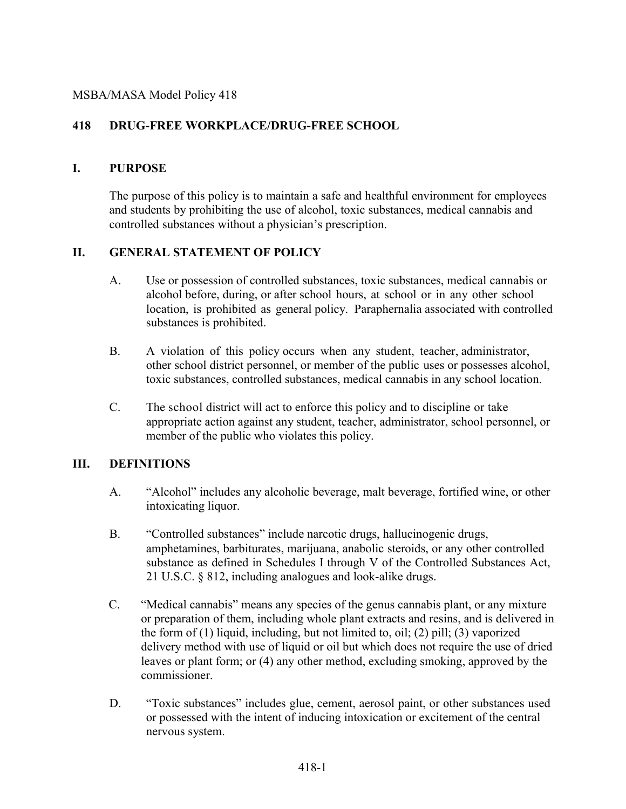#### MSBA/MASA Model Policy 418

## **418 DRUG-FREE WORKPLACE/DRUG-FREE SCHOOL**

#### **I. PURPOSE**

The purpose of this policy is to maintain a safe and healthful environment for employees and students by prohibiting the use of alcohol, toxic substances, medical cannabis and controlled substances without a physician's prescription.

### **II. GENERAL STATEMENT OF POLICY**

- A. Use or possession of controlled substances, toxic substances, medical cannabis or alcohol before, during, or after school hours, at school or in any other school location, is prohibited as general policy. Paraphernalia associated with controlled substances is prohibited.
- B. A violation of this policy occurs when any student, teacher, administrator, other school district personnel, or member of the public uses or possesses alcohol, toxic substances, controlled substances, medical cannabis in any school location.
- C. The school district will act to enforce this policy and to discipline or take appropriate action against any student, teacher, administrator, school personnel, or member of the public who violates this policy.

### **III. DEFINITIONS**

- A. "Alcohol" includes any alcoholic beverage, malt beverage, fortified wine, or other intoxicating liquor.
- B. "Controlled substances" include narcotic drugs, hallucinogenic drugs, amphetamines, barbiturates, marijuana, anabolic steroids, or any other controlled substance as defined in Schedules I through V of the Controlled Substances Act, 21 U.S.C. § 812, including analogues and look-alike drugs.
- C. "Medical cannabis" means any species of the genus cannabis plant, or any mixture or preparation of them, including whole plant extracts and resins, and is delivered in the form of (1) liquid, including, but not limited to, oil; (2) pill; (3) vaporized delivery method with use of liquid or oil but which does not require the use of dried leaves or plant form; or (4) any other method, excluding smoking, approved by the commissioner.
- D. "Toxic substances" includes glue, cement, aerosol paint, or other substances used or possessed with the intent of inducing intoxication or excitement of the central nervous system.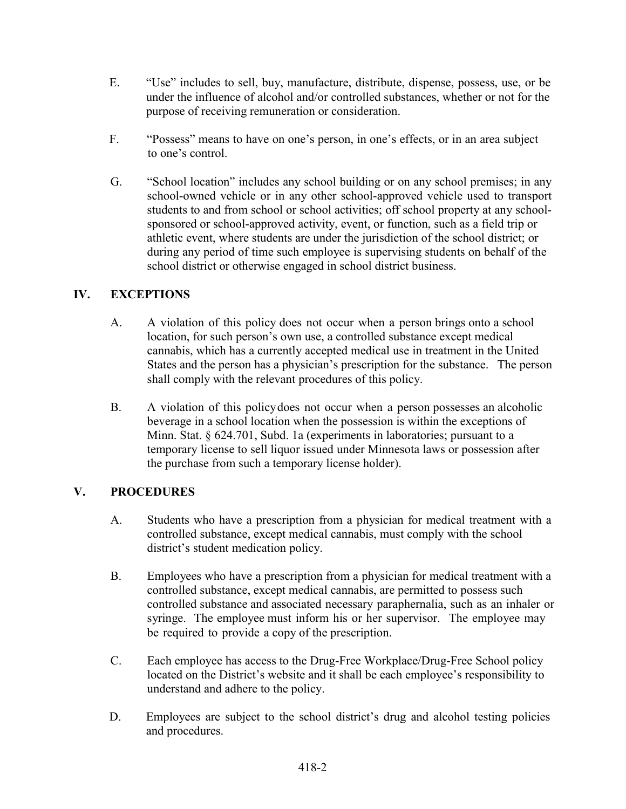- E. "Use" includes to sell, buy, manufacture, distribute, dispense, possess, use, or be under the influence of alcohol and/or controlled substances, whether or not for the purpose of receiving remuneration or consideration.
- F. "Possess" means to have on one's person, in one's effects, or in an area subject to one's control.
- G. "School location" includes any school building or on any school premises; in any school-owned vehicle or in any other school-approved vehicle used to transport students to and from school or school activities; off school property at any schoolsponsored or school-approved activity, event, or function, such as a field trip or athletic event, where students are under the jurisdiction of the school district; or during any period of time such employee is supervising students on behalf of the school district or otherwise engaged in school district business.

### **IV. EXCEPTIONS**

- A. A violation of this policy does not occur when a person brings onto a school location, for such person's own use, a controlled substance except medical cannabis, which has a currently accepted medical use in treatment in the United States and the person has a physician's prescription for the substance. The person shall comply with the relevant procedures of this policy.
- B. A violation of this policydoes not occur when a person possesses an alcoholic beverage in a school location when the possession is within the exceptions of Minn. Stat. § 624.701, Subd. 1a (experiments in laboratories; pursuant to a temporary license to sell liquor issued under Minnesota laws or possession after the purchase from such a temporary license holder).

### **V. PROCEDURES**

- A. Students who have a prescription from a physician for medical treatment with a controlled substance, except medical cannabis, must comply with the school district's student medication policy.
- B. Employees who have a prescription from a physician for medical treatment with a controlled substance, except medical cannabis, are permitted to possess such controlled substance and associated necessary paraphernalia, such as an inhaler or syringe. The employee must inform his or her supervisor. The employee may be required to provide a copy of the prescription.
- C. Each employee has access to the Drug-Free Workplace/Drug-Free School policy located on the District's website and it shall be each employee's responsibility to understand and adhere to the policy.
- D. Employees are subject to the school district's drug and alcohol testing policies and procedures.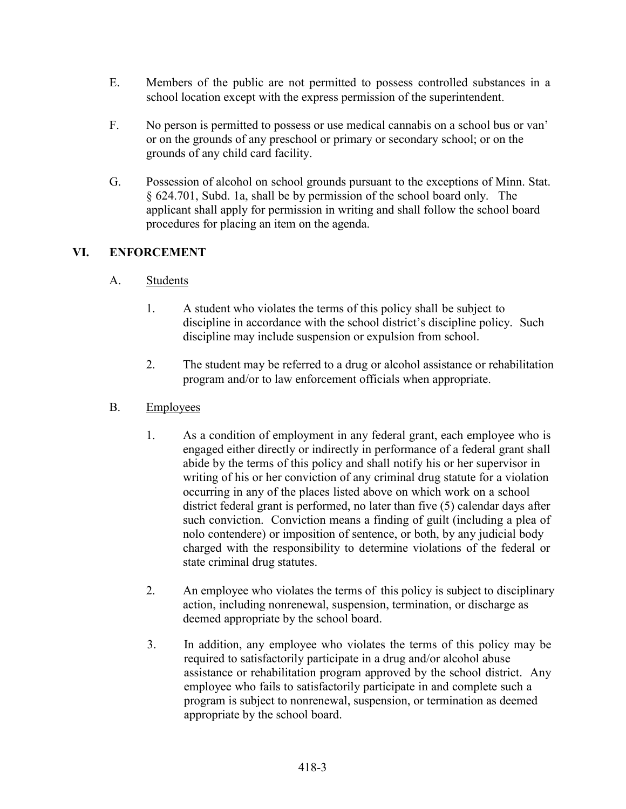- E. Members of the public are not permitted to possess controlled substances in a school location except with the express permission of the superintendent.
- F. No person is permitted to possess or use medical cannabis on a school bus or van' or on the grounds of any preschool or primary or secondary school; or on the grounds of any child card facility.
- G. Possession of alcohol on school grounds pursuant to the exceptions of Minn. Stat. § 624.701, Subd. 1a, shall be by permission of the school board only. The applicant shall apply for permission in writing and shall follow the school board procedures for placing an item on the agenda.

# **VI. ENFORCEMENT**

- A. Students
	- 1. A student who violates the terms of this policy shall be subject to discipline in accordance with the school district's discipline policy. Such discipline may include suspension or expulsion from school.
	- 2. The student may be referred to a drug or alcohol assistance or rehabilitation program and/or to law enforcement officials when appropriate.
- B. Employees
	- 1. As a condition of employment in any federal grant, each employee who is engaged either directly or indirectly in performance of a federal grant shall abide by the terms of this policy and shall notify his or her supervisor in writing of his or her conviction of any criminal drug statute for a violation occurring in any of the places listed above on which work on a school district federal grant is performed, no later than five (5) calendar days after such conviction. Conviction means a finding of guilt (including a plea of nolo contendere) or imposition of sentence, or both, by any judicial body charged with the responsibility to determine violations of the federal or state criminal drug statutes.
	- 2. An employee who violates the terms of this policy is subject to disciplinary action, including nonrenewal, suspension, termination, or discharge as deemed appropriate by the school board.
	- 3. In addition, any employee who violates the terms of this policy may be required to satisfactorily participate in a drug and/or alcohol abuse assistance or rehabilitation program approved by the school district. Any employee who fails to satisfactorily participate in and complete such a program is subject to nonrenewal, suspension, or termination as deemed appropriate by the school board.